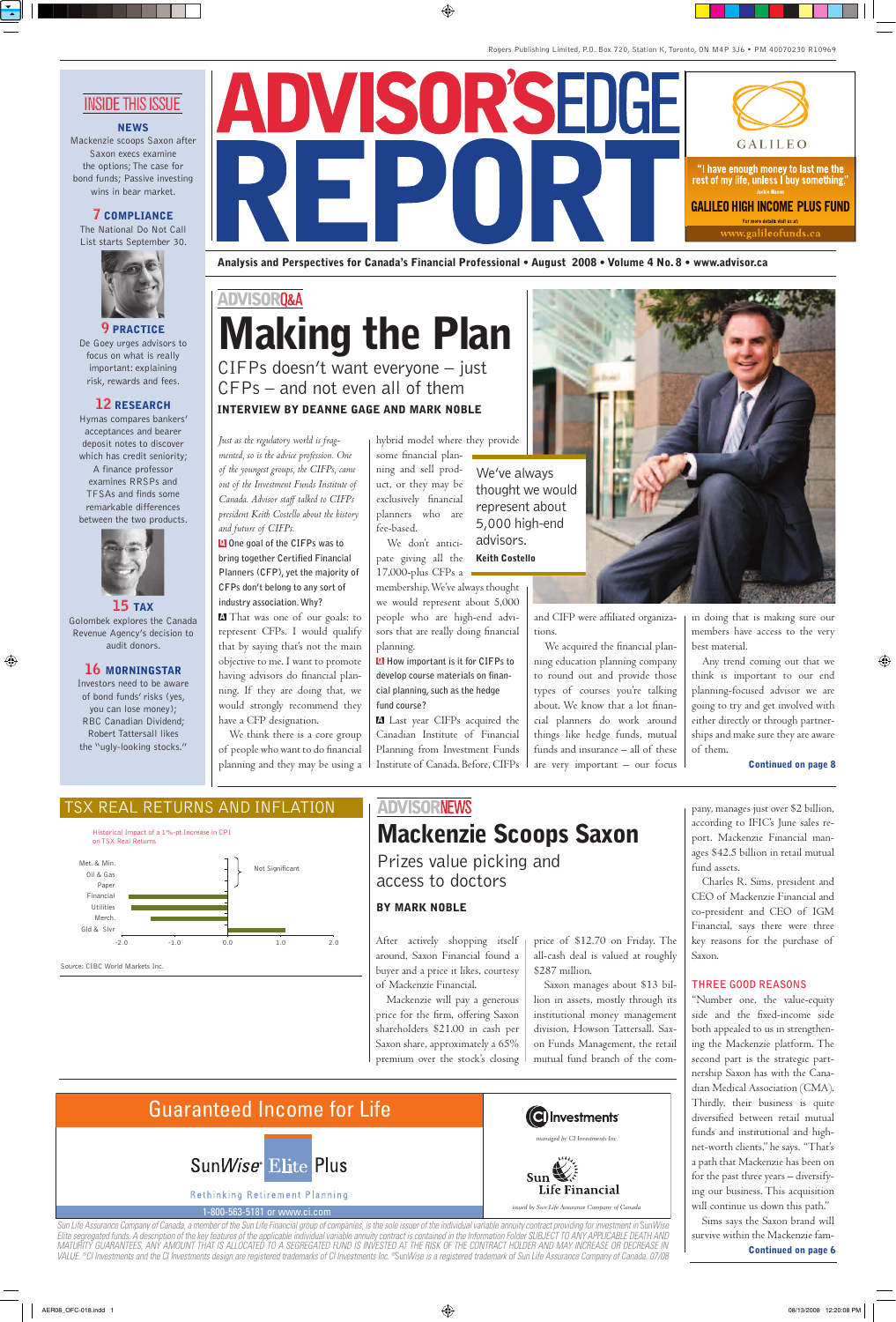### **ADVISORO&A**

# Making the Plan

CIFPs doesn't want everyone  $-$  just  $CFPs -$  and not even all of them **INTERVIEW BY DEANNE GAGE AND MARK NOBLE** 

*Just as the regulatory world is fragmented, so is the advice profession. One of the youngest groups, the CIFPs, came out of the Investment Funds Institute of Canada. Advisor staff talked to CIFPs president Keith Costello about the history and future of CIFPs.*

Q **One goal of the CIFPs was to bring together Certified Financial Planners (CFP), yet the majority of CFPs don't belong to any sort of industry association.Why?**

A That was one of our goals: to represent CFPs. I would qualify that by saying that's not the main objective to me. I want to promote having advisors do financial planning. If they are doing that, we would strongly recommend they have a CFP designation.

We think there is a core group of people who want to do financial planning and they may be using a

hybrid model where they provide

some financial planning and sell product, or they may be exclusively financial planners who are fee-based.

We don't anticipate giving all the 17,000-plus CFPs a

membership. We've always thought we would represent about 5,000 people who are high-end advisors that are really doing financial planning.

Q **How important is it for CIFPs to develop course materials on financial planning,such as the hedge fund course?**

A Last year CIFPs acquired the Canadian Institute of Financial Planning from Investment Funds Institute of Canada. Before, CIFPs

We've always thought we would represent about 5,000 high-end advisors. **Keith Costello** 

> and CIFP were affiliated organizations.

We acquired the financial planning education planning company to round out and provide those types of courses you're talking about. We know that a lot financial planners do work around things like hedge funds, mutual funds and insurance – all of these are very important – our focus in doing that is making sure our members have access to the very best material.

Any trend coming out that we think is important to our end planning-focused advisor we are going to try and get involved with either directly or through partnerships and make sure they are aware of them.

Continued on page 8